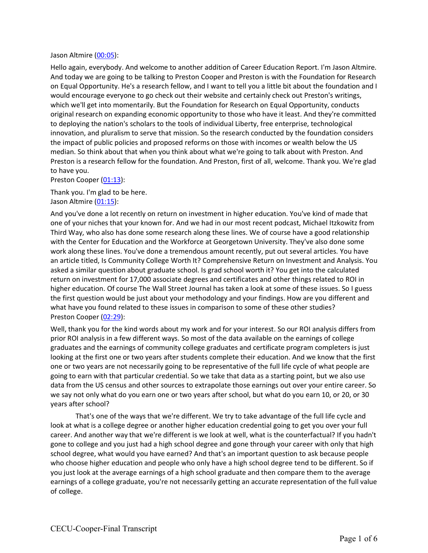## Jason Altmire (00:05):

Hello again, everybody. And welcome to another addition of Career Education Report. I'm Jason Altmire. And today we are going to be talking to Preston Cooper and Preston is with the Foundation for Research on Equal Opportunity. He's a research fellow, and I want to tell you a little bit about the foundation and I would encourage everyone to go check out their website and certainly check out Preston's writings, which we'll get into momentarily. But the Foundation for Research on Equal Opportunity, conducts original research on expanding economic opportunity to those who have it least. And they're committed to deploying the nation's scholars to the tools of individual Liberty, free enterprise, technological innovation, and pluralism to serve that mission. So the research conducted by the foundation considers the impact of public policies and proposed reforms on those with incomes or wealth below the US median. So think about that when you think about what we're going to talk about with Preston. And Preston is a research fellow for the foundation. And Preston, first of all, welcome. Thank you. We're glad to have you.

Preston Cooper (01:13):

Thank you. I'm glad to be here. Jason Altmire (01:15):

And you've done a lot recently on return on investment in higher education. You've kind of made that one of your niches that your known for. And we had in our most recent podcast, Michael Itzkowitz from Third Way, who also has done some research along these lines. We of course have a good relationship with the Center for Education and the Workforce at Georgetown University. They've also done some work along these lines. You've done a tremendous amount recently, put out several articles. You have an article titled, Is Community College Worth It? Comprehensive Return on Investment and Analysis. You asked a similar question about graduate school. Is grad school worth it? You get into the calculated return on investment for 17,000 associate degrees and certificates and other things related to ROI in higher education. Of course The Wall Street Journal has taken a look at some of these issues. So I guess the first question would be just about your methodology and your findings. How are you different and what have you found related to these issues in comparison to some of these other studies? Preston Cooper (02:29):

Well, thank you for the kind words about my work and for your interest. So our ROI analysis differs from prior ROI analysis in a few different ways. So most of the data available on the earnings of college graduates and the earnings of community college graduates and certificate program completers is just looking at the first one or two years after students complete their education. And we know that the first one or two years are not necessarily going to be representative of the full life cycle of what people are going to earn with that particular credential. So we take that data as a starting point, but we also use data from the US census and other sources to extrapolate those earnings out over your entire career. So we say not only what do you earn one or two years after school, but what do you earn 10, or 20, or 30 years after school?

That's one of the ways that we're different. We try to take advantage of the full life cycle and look at what is a college degree or another higher education credential going to get you over your full career. And another way that we're different is we look at well, what is the counterfactual? If you hadn't gone to college and you just had a high school degree and gone through your career with only that high school degree, what would you have earned? And that's an important question to ask because people who choose higher education and people who only have a high school degree tend to be different. So if you just look at the average earnings of a high school graduate and then compare them to the average earnings of a college graduate, you're not necessarily getting an accurate representation of the full value of college.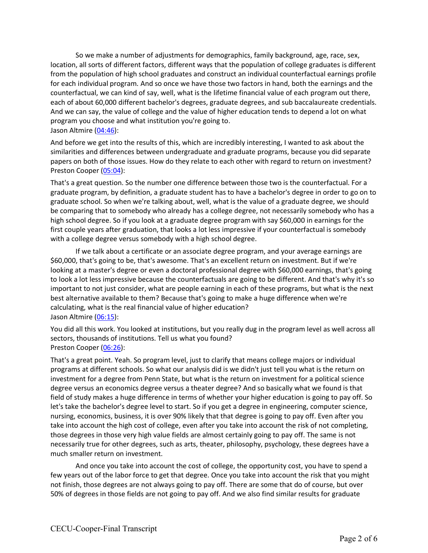So we make a number of adjustments for demographics, family background, age, race, sex, location, all sorts of different factors, different ways that the population of college graduates is different from the population of high school graduates and construct an individual counterfactual earnings profile for each individual program. And so once we have those two factors in hand, both the earnings and the counterfactual, we can kind of say, well, what is the lifetime financial value of each program out there, each of about 60,000 different bachelor's degrees, graduate degrees, and sub baccalaureate credentials. And we can say, the value of college and the value of higher education tends to depend a lot on what program you choose and what institution you're going to. Jason Altmire (04:46):

And before we get into the results of this, which are incredibly interesting, I wanted to ask about the similarities and differences between undergraduate and graduate programs, because you did separate papers on both of those issues. How do they relate to each other with regard to return on investment? Preston Cooper (05:04):

That's a great question. So the number one difference between those two is the counterfactual. For a graduate program, by definition, a graduate student has to have a bachelor's degree in order to go on to graduate school. So when we're talking about, well, what is the value of a graduate degree, we should be comparing that to somebody who already has a college degree, not necessarily somebody who has a high school degree. So if you look at a graduate degree program with say \$60,000 in earnings for the first couple years after graduation, that looks a lot less impressive if your counterfactual is somebody with a college degree versus somebody with a high school degree.

If we talk about a certificate or an associate degree program, and your average earnings are \$60,000, that's going to be, that's awesome. That's an excellent return on investment. But if we're looking at a master's degree or even a doctoral professional degree with \$60,000 earnings, that's going to look a lot less impressive because the counterfactuals are going to be different. And that's why it's so important to not just consider, what are people earning in each of these programs, but what is the next best alternative available to them? Because that's going to make a huge difference when we're calculating, what is the real financial value of higher education? Jason Altmire (06:15):

You did all this work. You looked at institutions, but you really dug in the program level as well across all sectors, thousands of institutions. Tell us what you found? Preston Cooper (06:26):

That's a great point. Yeah. So program level, just to clarify that means college majors or individual programs at different schools. So what our analysis did is we didn't just tell you what is the return on investment for a degree from Penn State, but what is the return on investment for a political science degree versus an economics degree versus a theater degree? And so basically what we found is that field of study makes a huge difference in terms of whether your higher education is going to pay off. So let's take the bachelor's degree level to start. So if you get a degree in engineering, computer science, nursing, economics, business, it is over 90% likely that that degree is going to pay off. Even after you take into account the high cost of college, even after you take into account the risk of not completing, those degrees in those very high value fields are almost certainly going to pay off. The same is not necessarily true for other degrees, such as arts, theater, philosophy, psychology, these degrees have a much smaller return on investment.

And once you take into account the cost of college, the opportunity cost, you have to spend a few years out of the labor force to get that degree. Once you take into account the risk that you might not finish, those degrees are not always going to pay off. There are some that do of course, but over 50% of degrees in those fields are not going to pay off. And we also find similar results for graduate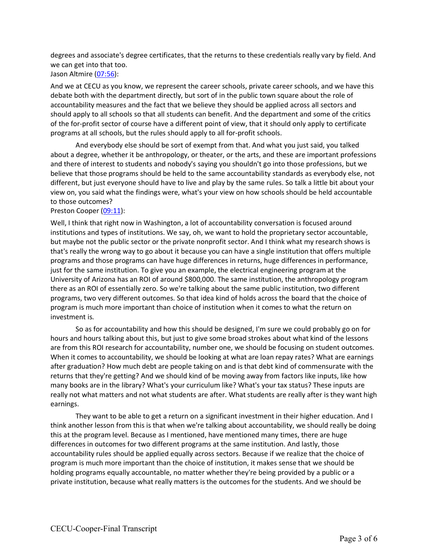degrees and associate's degree certificates, that the returns to these credentials really vary by field. And we can get into that too.

Jason Altmire (07:56):

And we at CECU as you know, we represent the career schools, private career schools, and we have this debate both with the department directly, but sort of in the public town square about the role of accountability measures and the fact that we believe they should be applied across all sectors and should apply to all schools so that all students can benefit. And the department and some of the critics of the for-profit sector of course have a different point of view, that it should only apply to certificate programs at all schools, but the rules should apply to all for-profit schools.

And everybody else should be sort of exempt from that. And what you just said, you talked about a degree, whether it be anthropology, or theater, or the arts, and these are important professions and there of interest to students and nobody's saying you shouldn't go into those professions, but we believe that those programs should be held to the same accountability standards as everybody else, not different, but just everyone should have to live and play by the same rules. So talk a little bit about your view on, you said what the findings were, what's your view on how schools should be held accountable to those outcomes?

Preston Cooper (09:11):

Well, I think that right now in Washington, a lot of accountability conversation is focused around institutions and types of institutions. We say, oh, we want to hold the proprietary sector accountable, but maybe not the public sector or the private nonprofit sector. And I think what my research shows is that's really the wrong way to go about it because you can have a single institution that offers multiple programs and those programs can have huge differences in returns, huge differences in performance, just for the same institution. To give you an example, the electrical engineering program at the University of Arizona has an ROI of around \$800,000. The same institution, the anthropology program there as an ROI of essentially zero. So we're talking about the same public institution, two different programs, two very different outcomes. So that idea kind of holds across the board that the choice of program is much more important than choice of institution when it comes to what the return on investment is.

So as for accountability and how this should be designed, I'm sure we could probably go on for hours and hours talking about this, but just to give some broad strokes about what kind of the lessons are from this ROI research for accountability, number one, we should be focusing on student outcomes. When it comes to accountability, we should be looking at what are loan repay rates? What are earnings after graduation? How much debt are people taking on and is that debt kind of commensurate with the returns that they're getting? And we should kind of be moving away from factors like inputs, like how many books are in the library? What's your curriculum like? What's your tax status? These inputs are really not what matters and not what students are after. What students are really after is they want high earnings.

They want to be able to get a return on a significant investment in their higher education. And I think another lesson from this is that when we're talking about accountability, we should really be doing this at the program level. Because as I mentioned, have mentioned many times, there are huge differences in outcomes for two different programs at the same institution. And lastly, those accountability rules should be applied equally across sectors. Because if we realize that the choice of program is much more important than the choice of institution, it makes sense that we should be holding programs equally accountable, no matter whether they're being provided by a public or a private institution, because what really matters is the outcomes for the students. And we should be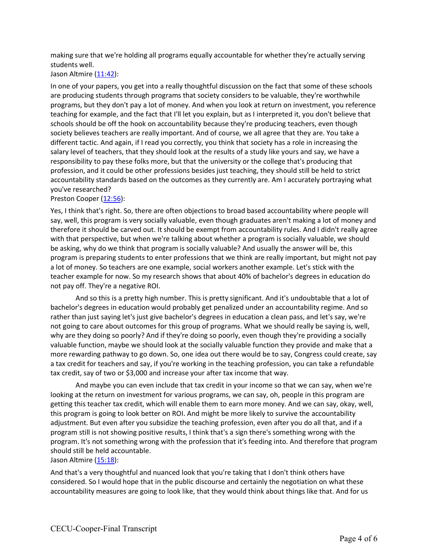making sure that we're holding all programs equally accountable for whether they're actually serving students well.

Jason Altmire (11:42):

In one of your papers, you get into a really thoughtful discussion on the fact that some of these schools are producing students through programs that society considers to be valuable, they're worthwhile programs, but they don't pay a lot of money. And when you look at return on investment, you reference teaching for example, and the fact that I'll let you explain, but as I interpreted it, you don't believe that schools should be off the hook on accountability because they're producing teachers, even though society believes teachers are really important. And of course, we all agree that they are. You take a different tactic. And again, if I read you correctly, you think that society has a role in increasing the salary level of teachers, that they should look at the results of a study like yours and say, we have a responsibility to pay these folks more, but that the university or the college that's producing that profession, and it could be other professions besides just teaching, they should still be held to strict accountability standards based on the outcomes as they currently are. Am I accurately portraying what you've researched?

Preston Cooper (12:56):

Yes, I think that's right. So, there are often objections to broad based accountability where people will say, well, this program is very socially valuable, even though graduates aren't making a lot of money and therefore it should be carved out. It should be exempt from accountability rules. And I didn't really agree with that perspective, but when we're talking about whether a program is socially valuable, we should be asking, why do we think that program is socially valuable? And usually the answer will be, this program is preparing students to enter professions that we think are really important, but might not pay a lot of money. So teachers are one example, social workers another example. Let's stick with the teacher example for now. So my research shows that about 40% of bachelor's degrees in education do not pay off. They're a negative ROI.

And so this is a pretty high number. This is pretty significant. And it's undoubtable that a lot of bachelor's degrees in education would probably get penalized under an accountability regime. And so rather than just saying let's just give bachelor's degrees in education a clean pass, and let's say, we're not going to care about outcomes for this group of programs. What we should really be saying is, well, why are they doing so poorly? And if they're doing so poorly, even though they're providing a socially valuable function, maybe we should look at the socially valuable function they provide and make that a more rewarding pathway to go down. So, one idea out there would be to say, Congress could create, say a tax credit for teachers and say, if you're working in the teaching profession, you can take a refundable tax credit, say of two or \$3,000 and increase your after tax income that way.

And maybe you can even include that tax credit in your income so that we can say, when we're looking at the return on investment for various programs, we can say, oh, people in this program are getting this teacher tax credit, which will enable them to earn more money. And we can say, okay, well, this program is going to look better on ROI. And might be more likely to survive the accountability adjustment. But even after you subsidize the teaching profession, even after you do all that, and if a program still is not showing positive results, I think that's a sign there's something wrong with the program. It's not something wrong with the profession that it's feeding into. And therefore that program should still be held accountable.

## Jason Altmire (15:18):

And that's a very thoughtful and nuanced look that you're taking that I don't think others have considered. So I would hope that in the public discourse and certainly the negotiation on what these accountability measures are going to look like, that they would think about things like that. And for us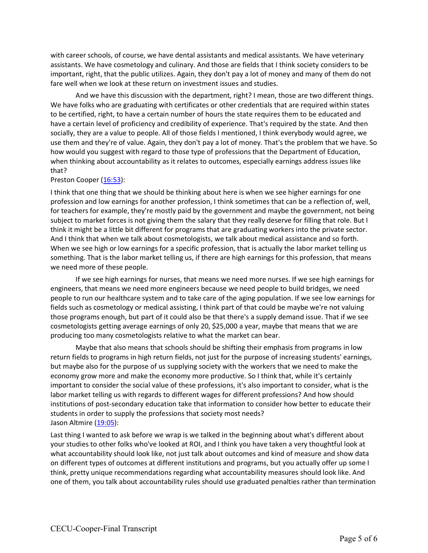with career schools, of course, we have dental assistants and medical assistants. We have veterinary assistants. We have cosmetology and culinary. And those are fields that I think society considers to be important, right, that the public utilizes. Again, they don't pay a lot of money and many of them do not fare well when we look at these return on investment issues and studies.

And we have this discussion with the department, right? I mean, those are two different things. We have folks who are graduating with certificates or other credentials that are required within states to be certified, right, to have a certain number of hours the state requires them to be educated and have a certain level of proficiency and credibility of experience. That's required by the state. And then socially, they are a value to people. All of those fields I mentioned, I think everybody would agree, we use them and they're of value. Again, they don't pay a lot of money. That's the problem that we have. So how would you suggest with regard to those type of professions that the Department of Education, when thinking about accountability as it relates to outcomes, especially earnings address issues like that?

## Preston Cooper (16:53):

I think that one thing that we should be thinking about here is when we see higher earnings for one profession and low earnings for another profession, I think sometimes that can be a reflection of, well, for teachers for example, they're mostly paid by the government and maybe the government, not being subject to market forces is not giving them the salary that they really deserve for filling that role. But I think it might be a little bit different for programs that are graduating workers into the private sector. And I think that when we talk about cosmetologists, we talk about medical assistance and so forth. When we see high or low earnings for a specific profession, that is actually the labor market telling us something. That is the labor market telling us, if there are high earnings for this profession, that means we need more of these people.

If we see high earnings for nurses, that means we need more nurses. If we see high earnings for engineers, that means we need more engineers because we need people to build bridges, we need people to run our healthcare system and to take care of the aging population. If we see low earnings for fields such as cosmetology or medical assisting, I think part of that could be maybe we're not valuing those programs enough, but part of it could also be that there's a supply demand issue. That if we see cosmetologists getting average earnings of only 20, \$25,000 a year, maybe that means that we are producing too many cosmetologists relative to what the market can bear.

Maybe that also means that schools should be shifting their emphasis from programs in low return fields to programs in high return fields, not just for the purpose of increasing students' earnings, but maybe also for the purpose of us supplying society with the workers that we need to make the economy grow more and make the economy more productive. So I think that, while it's certainly important to consider the social value of these professions, it's also important to consider, what is the labor market telling us with regards to different wages for different professions? And how should institutions of post-secondary education take that information to consider how better to educate their students in order to supply the professions that society most needs? Jason Altmire (19:05):

Last thing I wanted to ask before we wrap is we talked in the beginning about what's different about your studies to other folks who've looked at ROI, and I think you have taken a very thoughtful look at what accountability should look like, not just talk about outcomes and kind of measure and show data on different types of outcomes at different institutions and programs, but you actually offer up some I think, pretty unique recommendations regarding what accountability measures should look like. And one of them, you talk about accountability rules should use graduated penalties rather than termination